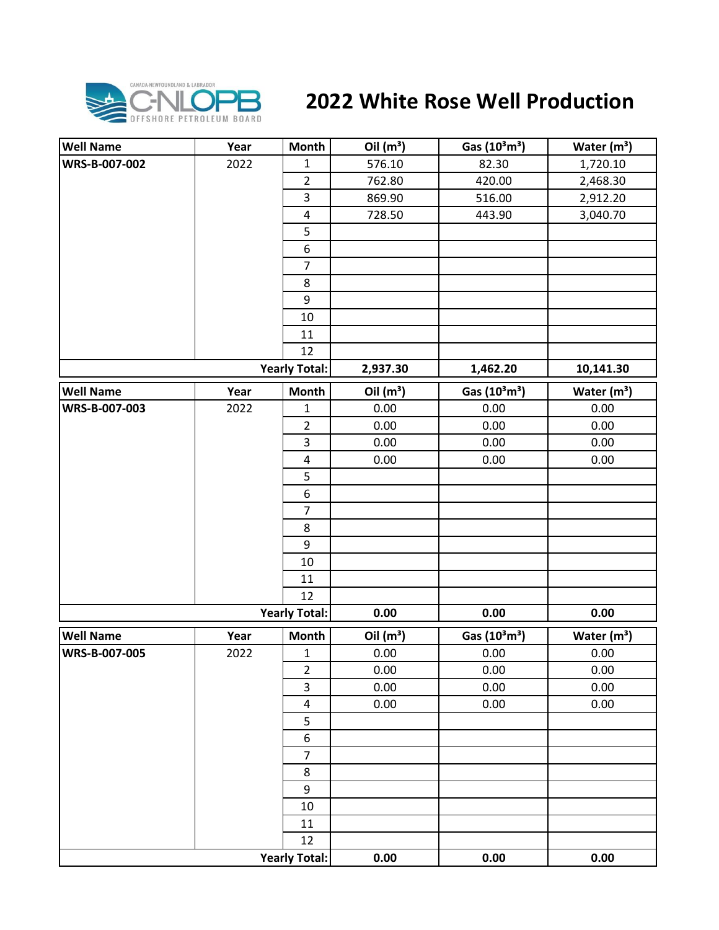

## **2022 White Rose Well Production**

| <b>Well Name</b> | Year | <b>Month</b>            | Oil $(m^3)$ | Gas (10 <sup>3</sup> m <sup>3</sup> ) | Water $(m^3)$           |
|------------------|------|-------------------------|-------------|---------------------------------------|-------------------------|
| WRS-B-007-002    | 2022 | $\mathbf{1}$            | 576.10      | 82.30                                 | 1,720.10                |
|                  |      | $\overline{2}$          | 762.80      | 420.00                                | 2,468.30                |
|                  |      | 3                       | 869.90      | 516.00                                | 2,912.20                |
|                  |      | $\pmb{4}$               | 728.50      | 443.90                                | 3,040.70                |
|                  |      | 5                       |             |                                       |                         |
|                  |      | $\boldsymbol{6}$        |             |                                       |                         |
|                  |      | $\overline{7}$          |             |                                       |                         |
|                  |      | 8                       |             |                                       |                         |
|                  |      | $\boldsymbol{9}$        |             |                                       |                         |
|                  |      | 10                      |             |                                       |                         |
|                  |      | 11                      |             |                                       |                         |
|                  |      | 12                      |             |                                       |                         |
|                  |      | <b>Yearly Total:</b>    | 2,937.30    | 1,462.20                              | 10,141.30               |
| <b>Well Name</b> | Year | <b>Month</b>            | Oil $(m^3)$ | Gas (10 <sup>3</sup> m <sup>3</sup> ) | Water $(m3)$            |
| WRS-B-007-003    | 2022 | 1                       | 0.00        | 0.00                                  | 0.00                    |
|                  |      | $\overline{2}$          | 0.00        | 0.00                                  | 0.00                    |
|                  |      | 3                       | 0.00        | 0.00                                  | 0.00                    |
|                  |      | $\pmb{4}$               | 0.00        | 0.00                                  | 0.00                    |
|                  |      | $\mathsf S$             |             |                                       |                         |
|                  |      | $\boldsymbol{6}$        |             |                                       |                         |
|                  |      | $\overline{7}$          |             |                                       |                         |
|                  |      | 8                       |             |                                       |                         |
|                  |      | 9                       |             |                                       |                         |
|                  |      | 10                      |             |                                       |                         |
|                  |      | 11                      |             |                                       |                         |
|                  |      | 12                      |             |                                       |                         |
|                  |      | <b>Yearly Total:</b>    | 0.00        | 0.00                                  | 0.00                    |
| <b>Well Name</b> | Year | <b>Month</b>            | Oil $(m^3)$ | Gas (10 <sup>3</sup> m <sup>3</sup> ) | Water (m <sup>3</sup> ) |
| WRS-B-007-005    | 2022 | $\mathbf{1}$            | 0.00        | 0.00                                  | 0.00                    |
|                  |      | $\overline{2}$          | 0.00        | 0.00                                  | 0.00                    |
|                  |      | 3                       | 0.00        | 0.00                                  | 0.00                    |
|                  |      | $\overline{\mathbf{4}}$ | 0.00        | 0.00                                  | 0.00                    |
|                  |      | 5                       |             |                                       |                         |
|                  |      | $\boldsymbol{6}$        |             |                                       |                         |
|                  |      | $\overline{7}$          |             |                                       |                         |
|                  |      | $\bf 8$                 |             |                                       |                         |
|                  |      | 9                       |             |                                       |                         |
|                  |      | $10\,$                  |             |                                       |                         |
|                  |      | $11\,$                  |             |                                       |                         |
|                  |      | 12                      |             |                                       |                         |
|                  |      | Yearly Total:           | 0.00        | 0.00                                  | 0.00                    |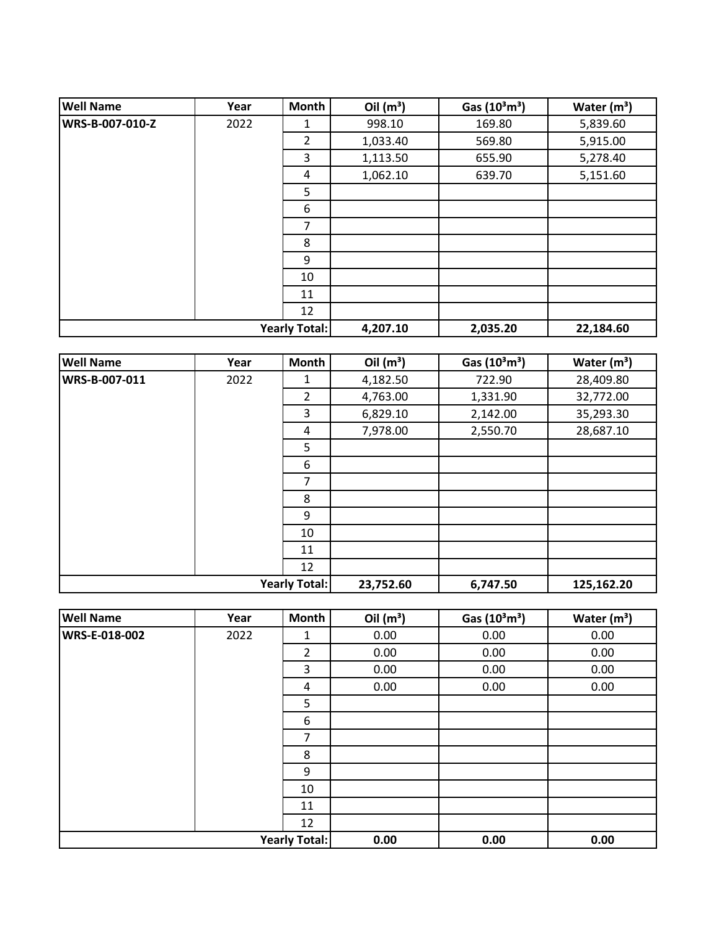| <b>Well Name</b>     | Year | Month          | Oil $(m^3)$ | Gas $(10^3 \text{m}^3)$ | Water $(m^3)$ |
|----------------------|------|----------------|-------------|-------------------------|---------------|
| WRS-B-007-010-Z      | 2022 | 1              | 998.10      | 169.80                  | 5,839.60      |
|                      |      | $\overline{2}$ | 1,033.40    | 569.80                  | 5,915.00      |
|                      |      | 3              | 1,113.50    | 655.90                  | 5,278.40      |
|                      |      | 4              | 1,062.10    | 639.70                  | 5,151.60      |
|                      |      | 5              |             |                         |               |
|                      |      | 6              |             |                         |               |
|                      |      | 7              |             |                         |               |
|                      |      | 8              |             |                         |               |
|                      |      | 9              |             |                         |               |
|                      |      | 10             |             |                         |               |
|                      |      | 11             |             |                         |               |
|                      |      | 12             |             |                         |               |
| <b>Yearly Total:</b> |      | 4,207.10       | 2,035.20    | 22,184.60               |               |

| <b>Well Name</b> | Year | <b>Month</b>   | Oil $(m^3)$ | Gas (10 <sup>3</sup> m <sup>3</sup> ) | Water $(m^3)$ |
|------------------|------|----------------|-------------|---------------------------------------|---------------|
| WRS-B-007-011    | 2022 | 1              | 4,182.50    | 722.90                                | 28,409.80     |
|                  |      | $\overline{2}$ | 4,763.00    | 1,331.90                              | 32,772.00     |
|                  |      | 3              | 6,829.10    | 2,142.00                              | 35,293.30     |
|                  |      | 4              | 7,978.00    | 2,550.70                              | 28,687.10     |
|                  |      | 5              |             |                                       |               |
|                  |      | 6              |             |                                       |               |
|                  |      | 7              |             |                                       |               |
|                  |      | 8              |             |                                       |               |
|                  |      | 9              |             |                                       |               |
|                  |      | 10             |             |                                       |               |
|                  |      | 11             |             |                                       |               |
|                  |      | 12             |             |                                       |               |
| Yearly Total:    |      | 23,752.60      | 6,747.50    | 125,162.20                            |               |

| <b>Well Name</b> | Year | Month                | Oil $(m^3)$ | Gas $(10^3 \text{m}^3)$ | Water $(m^3)$ |
|------------------|------|----------------------|-------------|-------------------------|---------------|
| WRS-E-018-002    | 2022 | 1                    | 0.00        | 0.00                    | 0.00          |
|                  |      | $\overline{2}$       | 0.00        | 0.00                    | 0.00          |
|                  |      | 3                    | 0.00        | 0.00                    | 0.00          |
|                  |      | 4                    | 0.00        | 0.00                    | 0.00          |
|                  |      | 5                    |             |                         |               |
|                  |      | 6                    |             |                         |               |
|                  |      | $\overline{7}$       |             |                         |               |
|                  |      | 8                    |             |                         |               |
|                  |      | 9                    |             |                         |               |
|                  |      | 10                   |             |                         |               |
|                  |      | 11                   |             |                         |               |
|                  |      | 12                   |             |                         |               |
|                  |      | <b>Yearly Total:</b> | 0.00        | 0.00                    | 0.00          |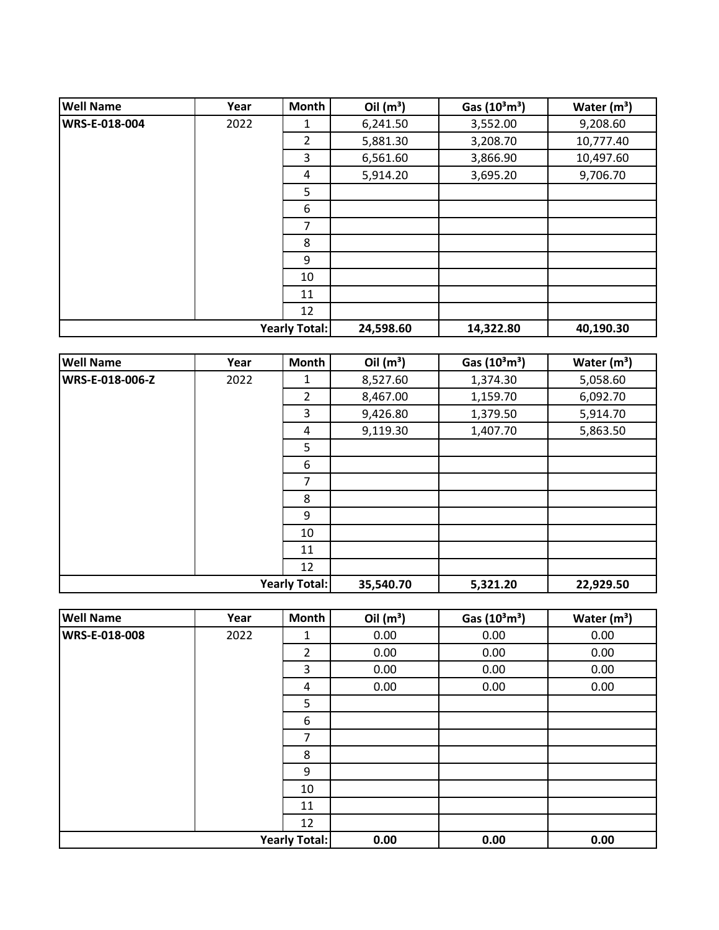| <b>Well Name</b>     | Year | Month          | Oil $(m^3)$ | Gas $(10^3 \text{m}^3)$ | Water $(m^3)$ |
|----------------------|------|----------------|-------------|-------------------------|---------------|
| <b>WRS-E-018-004</b> | 2022 | 1              | 6,241.50    | 3,552.00                | 9,208.60      |
|                      |      | $\overline{2}$ | 5,881.30    | 3,208.70                | 10,777.40     |
|                      |      | 3              | 6,561.60    | 3,866.90                | 10,497.60     |
|                      |      | 4              | 5,914.20    | 3,695.20                | 9,706.70      |
|                      |      | 5              |             |                         |               |
|                      |      | 6              |             |                         |               |
|                      |      | 7              |             |                         |               |
|                      |      | 8              |             |                         |               |
|                      |      | 9              |             |                         |               |
|                      |      | 10             |             |                         |               |
|                      |      | 11             |             |                         |               |
|                      |      | 12             |             |                         |               |
| <b>Yearly Total:</b> |      | 24,598.60      | 14,322.80   | 40,190.30               |               |

| <b>Well Name</b>     | Year | <b>Month</b>   | Oil $(m^3)$ | Gas $(10^3 \text{m}^3)$ | Water $(m^3)$ |
|----------------------|------|----------------|-------------|-------------------------|---------------|
| WRS-E-018-006-Z      | 2022 | 1              | 8,527.60    | 1,374.30                | 5,058.60      |
|                      |      | $\overline{2}$ | 8,467.00    | 1,159.70                | 6,092.70      |
|                      |      | 3              | 9,426.80    | 1,379.50                | 5,914.70      |
|                      |      | 4              | 9,119.30    | 1,407.70                | 5,863.50      |
|                      |      | 5              |             |                         |               |
|                      |      | 6              |             |                         |               |
|                      |      | 7              |             |                         |               |
|                      |      | 8              |             |                         |               |
|                      |      | 9              |             |                         |               |
|                      |      | 10             |             |                         |               |
|                      |      | 11             |             |                         |               |
|                      |      | 12             |             |                         |               |
| <b>Yearly Total:</b> |      | 35,540.70      | 5,321.20    | 22,929.50               |               |

| <b>Well Name</b>     | Year | Month                | Oil $(m^3)$ | Gas $(10^3 \text{m}^3)$ | Water $(m^3)$ |
|----------------------|------|----------------------|-------------|-------------------------|---------------|
| <b>WRS-E-018-008</b> | 2022 | 1                    | 0.00        | 0.00                    | 0.00          |
|                      |      | $\overline{2}$       | 0.00        | 0.00                    | 0.00          |
|                      |      | 3                    | 0.00        | 0.00                    | 0.00          |
|                      |      | 4                    | 0.00        | 0.00                    | 0.00          |
|                      |      | 5                    |             |                         |               |
|                      |      | 6                    |             |                         |               |
|                      |      | $\overline{7}$       |             |                         |               |
|                      |      | 8                    |             |                         |               |
|                      |      | 9                    |             |                         |               |
|                      |      | 10                   |             |                         |               |
|                      |      | 11                   |             |                         |               |
|                      |      | 12                   |             |                         |               |
|                      |      | <b>Yearly Total:</b> | 0.00        | 0.00                    | 0.00          |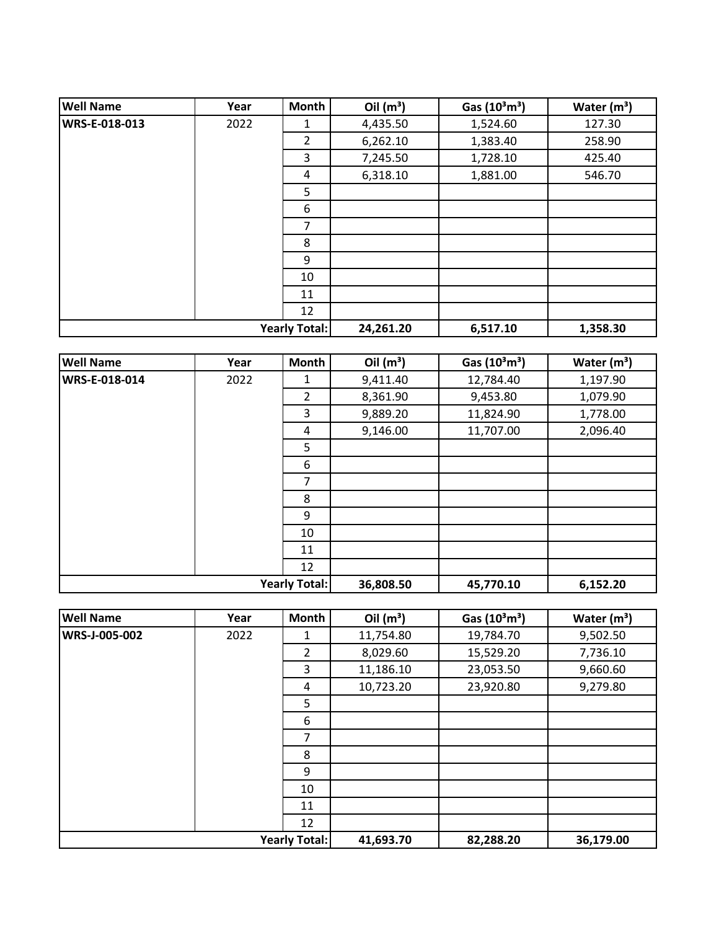| <b>Well Name</b>     | Year | <b>Month</b>   | Oil $(m^3)$ | Gas $(10^3 \text{m}^3)$ | Water $(m^3)$ |
|----------------------|------|----------------|-------------|-------------------------|---------------|
| WRS-E-018-013        | 2022 | 1              | 4,435.50    | 1,524.60                | 127.30        |
|                      |      | $\overline{2}$ | 6,262.10    | 1,383.40                | 258.90        |
|                      |      | 3              | 7,245.50    | 1,728.10                | 425.40        |
|                      |      | 4              | 6,318.10    | 1,881.00                | 546.70        |
|                      |      | 5              |             |                         |               |
|                      |      | 6              |             |                         |               |
|                      |      | 7              |             |                         |               |
|                      |      | 8              |             |                         |               |
|                      |      | 9              |             |                         |               |
|                      |      | 10             |             |                         |               |
|                      |      | 11             |             |                         |               |
|                      |      | 12             |             |                         |               |
| <b>Yearly Total:</b> |      | 24,261.20      | 6,517.10    | 1,358.30                |               |

| <b>Well Name</b>     | Year | <b>Month</b>   | Oil $(m^3)$ | Gas $(10^3 \text{m}^3)$ | Water $(m^3)$ |
|----------------------|------|----------------|-------------|-------------------------|---------------|
| WRS-E-018-014        | 2022 | 1              | 9,411.40    | 12,784.40               | 1,197.90      |
|                      |      | $\overline{2}$ | 8,361.90    | 9,453.80                | 1,079.90      |
|                      |      | 3              | 9,889.20    | 11,824.90               | 1,778.00      |
|                      |      | 4              | 9,146.00    | 11,707.00               | 2,096.40      |
|                      |      | 5              |             |                         |               |
|                      |      | 6              |             |                         |               |
|                      |      | 7              |             |                         |               |
|                      |      | 8              |             |                         |               |
|                      |      | 9              |             |                         |               |
|                      |      | 10             |             |                         |               |
|                      |      | 11             |             |                         |               |
|                      |      | 12             |             |                         |               |
| <b>Yearly Total:</b> |      | 36,808.50      | 45,770.10   | 6,152.20                |               |

| <b>Well Name</b> | Year | Month                | Oil $(m^3)$ | Gas (10 <sup>3</sup> m <sup>3</sup> ) | Water $(m^3)$ |
|------------------|------|----------------------|-------------|---------------------------------------|---------------|
| WRS-J-005-002    | 2022 | 1                    | 11,754.80   | 19,784.70                             | 9,502.50      |
|                  |      | $\overline{2}$       | 8,029.60    | 15,529.20                             | 7,736.10      |
|                  |      | 3                    | 11,186.10   | 23,053.50                             | 9,660.60      |
|                  |      | 4                    | 10,723.20   | 23,920.80                             | 9,279.80      |
|                  |      | 5                    |             |                                       |               |
|                  |      | 6                    |             |                                       |               |
|                  |      | 7                    |             |                                       |               |
|                  |      | 8                    |             |                                       |               |
|                  |      | 9                    |             |                                       |               |
|                  |      | 10                   |             |                                       |               |
|                  |      | 11                   |             |                                       |               |
|                  |      | 12                   |             |                                       |               |
|                  |      | <b>Yearly Total:</b> | 41,693.70   | 82,288.20                             | 36,179.00     |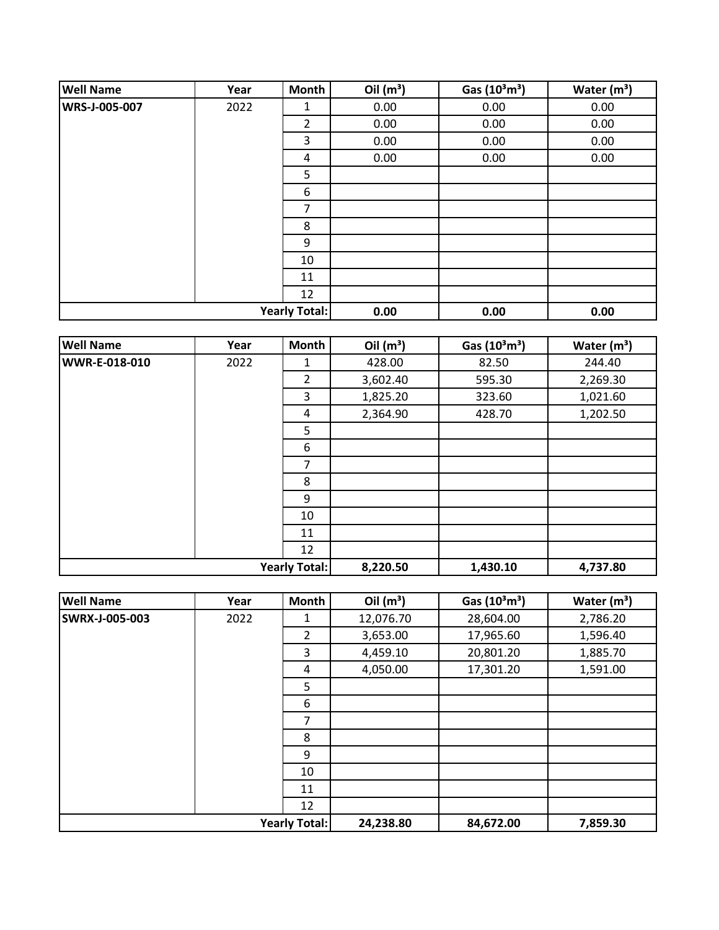| <b>Well Name</b> | Year | Month                | Oil $(m^3)$ | Gas (10 <sup>3</sup> m <sup>3</sup> ) | Water $(m3)$ |
|------------------|------|----------------------|-------------|---------------------------------------|--------------|
| WRS-J-005-007    | 2022 | 1                    | 0.00        | 0.00                                  | 0.00         |
|                  |      | 2                    | 0.00        | 0.00                                  | 0.00         |
|                  |      | 3                    | 0.00        | 0.00                                  | 0.00         |
|                  |      | 4                    | 0.00        | 0.00                                  | 0.00         |
|                  |      | 5                    |             |                                       |              |
|                  |      | 6                    |             |                                       |              |
|                  |      | 7                    |             |                                       |              |
|                  |      | 8                    |             |                                       |              |
|                  |      | 9                    |             |                                       |              |
|                  |      | 10                   |             |                                       |              |
|                  |      | 11                   |             |                                       |              |
|                  |      | 12                   |             |                                       |              |
|                  |      | <b>Yearly Total:</b> | 0.00        | 0.00                                  | 0.00         |

| <b>Well Name</b>     | Year | Month          | Oil $(m^3)$ | Gas $(10^3 \text{m}^3)$ | Water $(m^3)$ |
|----------------------|------|----------------|-------------|-------------------------|---------------|
| WWR-E-018-010        | 2022 | 1              | 428.00      | 82.50                   | 244.40        |
|                      |      | $\overline{2}$ | 3,602.40    | 595.30                  | 2,269.30      |
|                      |      | 3              | 1,825.20    | 323.60                  | 1,021.60      |
|                      |      | 4              | 2,364.90    | 428.70                  | 1,202.50      |
|                      |      | 5              |             |                         |               |
|                      |      | 6              |             |                         |               |
|                      |      | $\overline{7}$ |             |                         |               |
|                      |      | 8              |             |                         |               |
|                      |      | 9              |             |                         |               |
|                      |      | 10             |             |                         |               |
|                      |      | 11             |             |                         |               |
|                      |      | 12             |             |                         |               |
| <b>Yearly Total:</b> |      |                | 8,220.50    | 1,430.10                | 4,737.80      |

| <b>Well Name</b>      | Year | Month          | Oil $(m^3)$ | Gas $(10^3 \text{m}^3)$ | Water $(m^3)$ |
|-----------------------|------|----------------|-------------|-------------------------|---------------|
| <b>SWRX-J-005-003</b> | 2022 | 1              | 12,076.70   | 28,604.00               | 2,786.20      |
|                       |      | $\overline{2}$ | 3,653.00    | 17,965.60               | 1,596.40      |
|                       |      | 3              | 4,459.10    | 20,801.20               | 1,885.70      |
|                       |      | 4              | 4,050.00    | 17,301.20               | 1,591.00      |
|                       |      | 5              |             |                         |               |
|                       |      | 6              |             |                         |               |
|                       |      | 7              |             |                         |               |
|                       |      | 8              |             |                         |               |
|                       |      | 9              |             |                         |               |
|                       |      | 10             |             |                         |               |
|                       |      | 11             |             |                         |               |
|                       |      | 12             |             |                         |               |
| <b>Yearly Total:</b>  |      | 24,238.80      | 84,672.00   | 7,859.30                |               |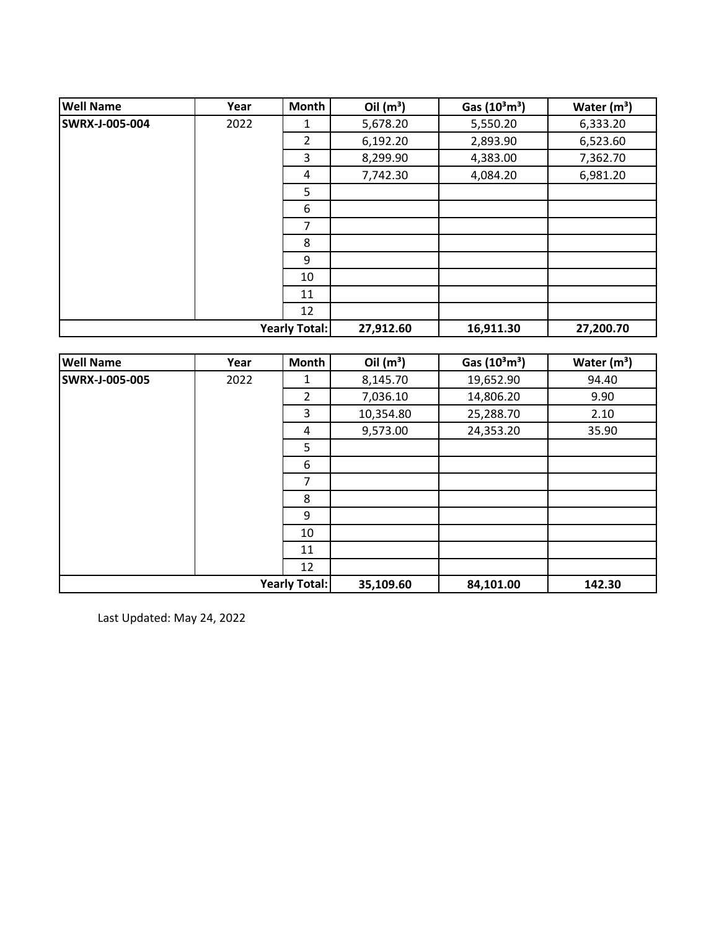| <b>Well Name</b> | Year | <b>Month</b>   | Oil $(m^3)$ | Gas $(10^3 \text{m}^3)$ | Water $(m^3)$ |
|------------------|------|----------------|-------------|-------------------------|---------------|
| SWRX-J-005-004   | 2022 | 1              | 5,678.20    | 5,550.20                | 6,333.20      |
|                  |      | $\overline{2}$ | 6,192.20    | 2,893.90                | 6,523.60      |
|                  |      | 3              | 8,299.90    | 4,383.00                | 7,362.70      |
|                  |      | 4              | 7,742.30    | 4,084.20                | 6,981.20      |
|                  |      | 5              |             |                         |               |
|                  |      | 6              |             |                         |               |
|                  |      | 7              |             |                         |               |
|                  |      | 8              |             |                         |               |
|                  |      | 9              |             |                         |               |
|                  |      | 10             |             |                         |               |
|                  |      | 11             |             |                         |               |
|                  |      | 12             |             |                         |               |
| Yearly Total:    |      | 27,912.60      | 16,911.30   | 27,200.70               |               |

| <b>Well Name</b>     | Year | <b>Month</b> | Oil $(m^3)$ | Gas $(10^3 \text{m}^3)$ | Water $(m^3)$ |
|----------------------|------|--------------|-------------|-------------------------|---------------|
| SWRX-J-005-005       | 2022 | 1            | 8,145.70    | 19,652.90               | 94.40         |
|                      |      | 2            | 7,036.10    | 14,806.20               | 9.90          |
|                      |      | 3            | 10,354.80   | 25,288.70               | 2.10          |
|                      |      | 4            | 9,573.00    | 24,353.20               | 35.90         |
|                      |      | 5            |             |                         |               |
|                      |      | 6            |             |                         |               |
|                      |      | 7            |             |                         |               |
|                      |      | 8            |             |                         |               |
|                      |      | 9            |             |                         |               |
|                      |      | 10           |             |                         |               |
|                      |      | 11           |             |                         |               |
|                      |      | 12           |             |                         |               |
| <b>Yearly Total:</b> |      |              | 35,109.60   | 84,101.00               | 142.30        |

Last Updated: May 24, 2022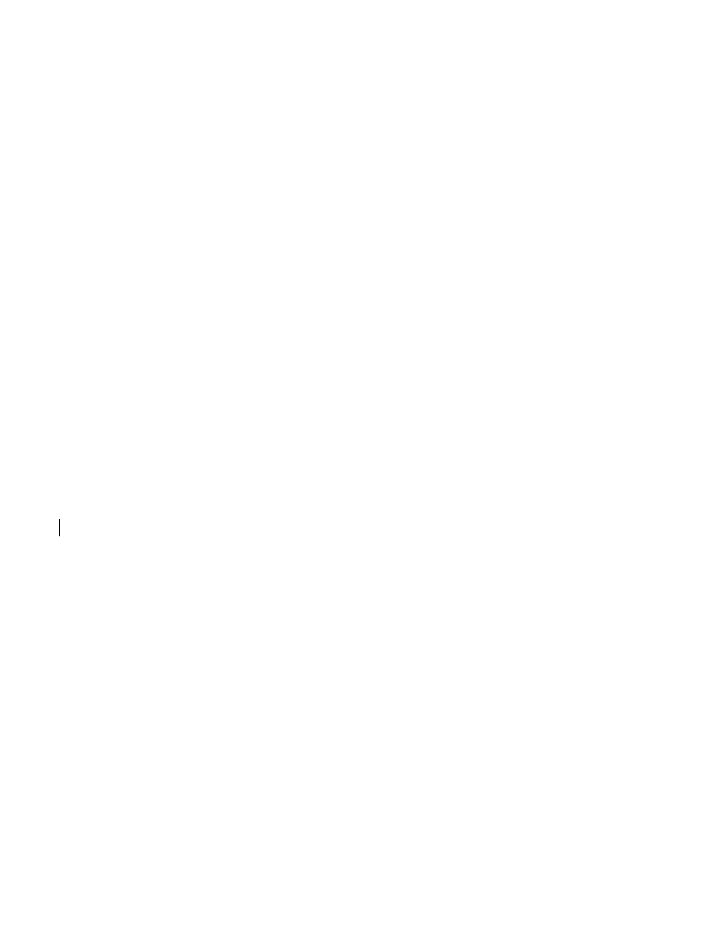$\overline{\mathsf{I}}$